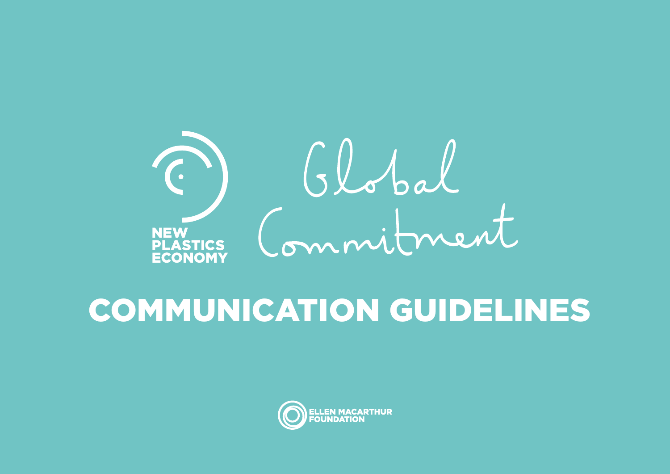

# COMMUNICATION GUIDELINES

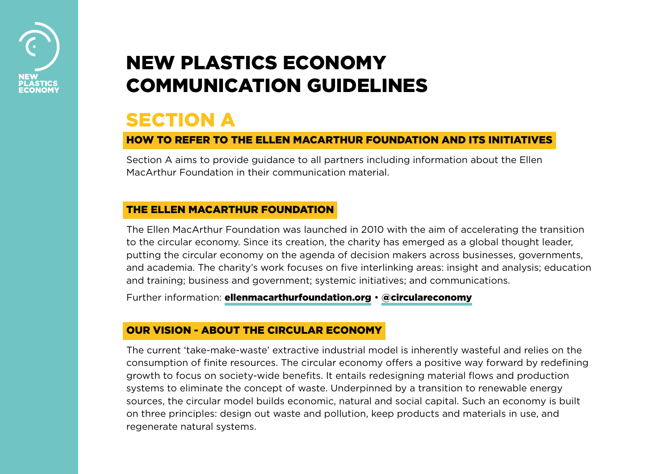

# NEW PLASTICS ECONOMY COMMUNICATION GUIDELINES

### **SECTION A**

#### HOW TO REFER TO THE ELLEN MACARTHUR FOUNDATION AND ITS INITIATIVES

Section A aims to provide guidance to all partners including information about the Ellen MacArthur Foundation in their communication material.

#### THE ELLEN MACARTHUR FOUNDATION

The Ellen MacArthur Foundation was launched in 2010 with the aim of accelerating the transition to the circular economy. Since its creation, the charity has emerged as a global thought leader, putting the circular economy on the agenda of decision makers across businesses, governments, and academia. The charity's work focuses on five interlinking areas: insight and analysis; education and training; business and government; systemic initiatives; and communications.

Further information: **[ellenmacarthurfoundation.org](http://ellenmacarthurfoundation.org) · [@circulareconomy](http://twitter.com/circulareconomy)** 

#### OUR VISION - ABOUT THE CIRCULAR ECONOMY

The current 'take-make-waste' extractive industrial model is inherently wasteful and relies on the consumption of finite resources. The circular economy offers a positive way forward by redefining growth to focus on society-wide benefits. It entails redesigning material flows and production systems to eliminate the concept of waste. Underpinned by a transition to renewable energy sources, the circular model builds economic, natural and social capital. Such an economy is built on three principles: design out waste and pollution, keep products and materials in use, and regenerate natural systems.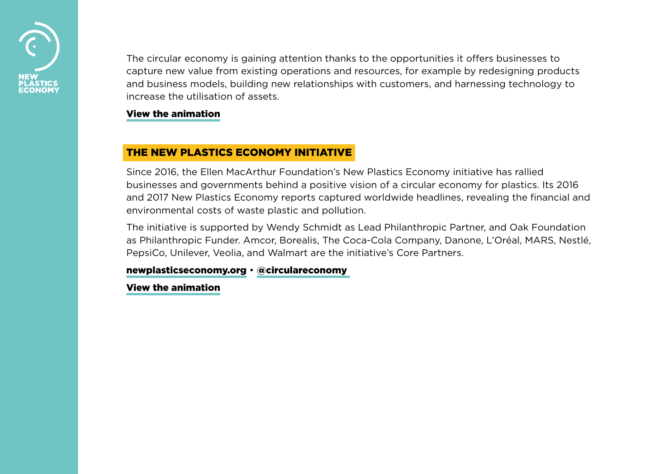

The circular economy is gaining attention thanks to the opportunities it offers businesses to capture new value from existing operations and resources, for example by redesigning products and business models, building new relationships with customers, and harnessing technology to increase the utilisation of assets.

#### [View the animation](https://www.ellenmacarthurfoundation.org/circular-economy/overview/concept)

#### THE NEW PLASTICS ECONOMY INITIATIVE

Since 2016, the Ellen MacArthur Foundation's New Plastics Economy initiative has rallied businesses and governments behind a positive vision of a circular economy for plastics. Its 2016 and 2017 New Plastics Economy reports captured worldwide headlines, revealing the financial and environmental costs of waste plastic and pollution.

The initiative is supported by Wendy Schmidt as Lead Philanthropic Partner, and Oak Foundation as Philanthropic Funder. Amcor, Borealis, The Coca-Cola Company, Danone, L'Oréal, MARS, Nestlé, PepsiCo, Unilever, Veolia, and Walmart are the initiative's Core Partners.

#### [newplasticseconomy.org](http://newplasticseconomy.org) • [@circulareconomy](https://twitter.com/circulareconomy)

[View the animation](https://vimeo.com/168011130)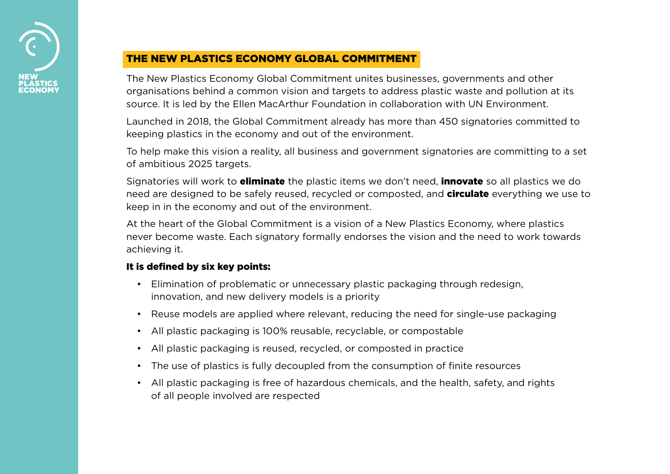

### THE NEW PLASTICS ECONOMY GLOBAL COMMITMENT

The New Plastics Economy Global Commitment unites businesses, governments and other organisations behind a common vision and targets to address plastic waste and pollution at its source. It is led by the Ellen MacArthur Foundation in collaboration with UN Environment.

Launched in 2018, the Global Commitment already has more than 450 signatories committed to keeping plastics in the economy and out of the environment.

To help make this vision a reality, all business and government signatories are committing to a set of ambitious 2025 targets.

Signatories will work to **eliminate** the plastic items we don't need, **innovate** so all plastics we do need are designed to be safely reused, recycled or composted, and **circulate** everything we use to keep in in the economy and out of the environment.

At the heart of the Global Commitment is a vision of a New Plastics Economy, where plastics never become waste. Each signatory formally endorses the vision and the need to work towards achieving it.

#### It is defined by six key points:

- Elimination of problematic or unnecessary plastic packaging through redesign, innovation, and new delivery models is a priority
- Reuse models are applied where relevant, reducing the need for single-use packaging
- All plastic packaging is 100% reusable, recyclable, or compostable
- All plastic packaging is reused, recycled, or composted in practice
- The use of plastics is fully decoupled from the consumption of finite resources
- All plastic packaging is free of hazardous chemicals, and the health, safety, and rights of all people involved are respected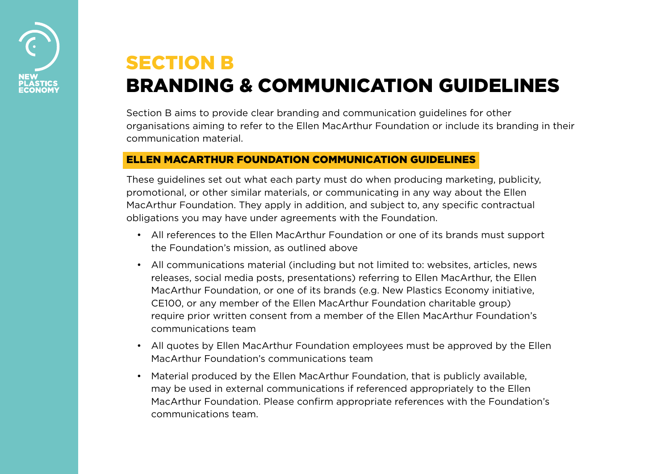

# SECTION B BRANDING & COMMUNICATION GUIDELINES

Section B aims to provide clear branding and communication guidelines for other organisations aiming to refer to the Ellen MacArthur Foundation or include its branding in their communication material.

#### ELLEN MACARTHUR FOUNDATION COMMUNICATION GUIDELINES

These guidelines set out what each party must do when producing marketing, publicity, promotional, or other similar materials, or communicating in any way about the Ellen MacArthur Foundation. They apply in addition, and subject to, any specific contractual obligations you may have under agreements with the Foundation.

- All references to the Ellen MacArthur Foundation or one of its brands must support the Foundation's mission, as outlined above
- All communications material (including but not limited to: websites, articles, news releases, social media posts, presentations) referring to Ellen MacArthur, the Ellen MacArthur Foundation, or one of its brands (e.g. New Plastics Economy initiative, CE100, or any member of the Ellen MacArthur Foundation charitable group) require prior written consent from a member of the Ellen MacArthur Foundation's communications team
- All quotes by Ellen MacArthur Foundation employees must be approved by the Ellen MacArthur Foundation's communications team
- Material produced by the Ellen MacArthur Foundation, that is publicly available, may be used in external communications if referenced appropriately to the Ellen MacArthur Foundation. Please confirm appropriate references with the Foundation's communications team.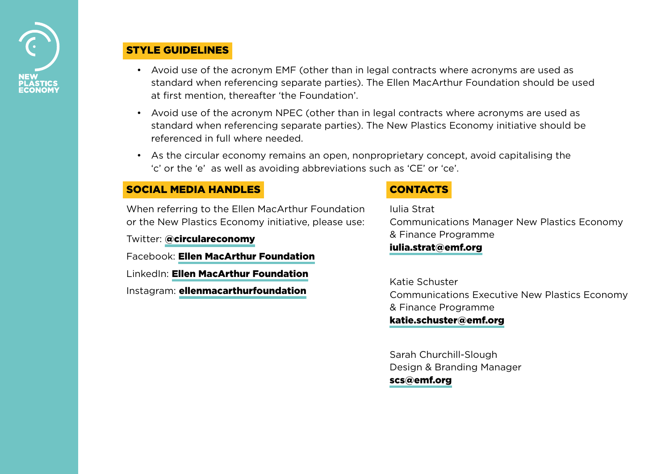

#### STYLE GUIDELINES

- Avoid use of the acronym EMF (other than in legal contracts where acronyms are used as standard when referencing separate parties). The Ellen MacArthur Foundation should be used at first mention, thereafter 'the Foundation'.
- Avoid use of the acronym NPEC (other than in legal contracts where acronyms are used as standard when referencing separate parties). The New Plastics Economy initiative should be referenced in full where needed.
- As the circular economy remains an open, nonproprietary concept, avoid capitalising the 'c' or the 'e' as well as avoiding abbreviations such as 'CE' or 'ce'.

#### SOCIAL MEDIA HANDLES

When referring to the Ellen MacArthur Foundation or the New Plastics Economy initiative, please use:

Twitter: [@circulareconomy](http://twitter.com/circulareconomy)

Facebook: [Ellen MacArthur Foundation](https://www.facebook.com/EllenMacArthurFoundation/) LinkedIn: [Ellen MacArthur Foundation](https://www.linkedin.com/company/ellen-macarthur-foundation/) Instagram: [ellenmacarthurfoundation](https://www.instagram.com/ellenmacarthurfoundation/)

### **CONTACTS**

Iulia Strat Communications Manager New Plastics Economy & Finance Programme [iulia.strat@emf.org](mailto:iulia.strat%40emf.org?subject=)

Katie Schuster Communications Executive New Plastics Economy & Finance Programme [katie.schuster@emf.org](mailto:katie.schuster%40emf.org%20?subject=)

Sarah Churchill-Slough Design & Branding Manager [scs@emf.org](mailto:scs%40ellenmacarthurfoundation.org?subject=New%20Plastics%20Economy%20-%20Comms.%20question)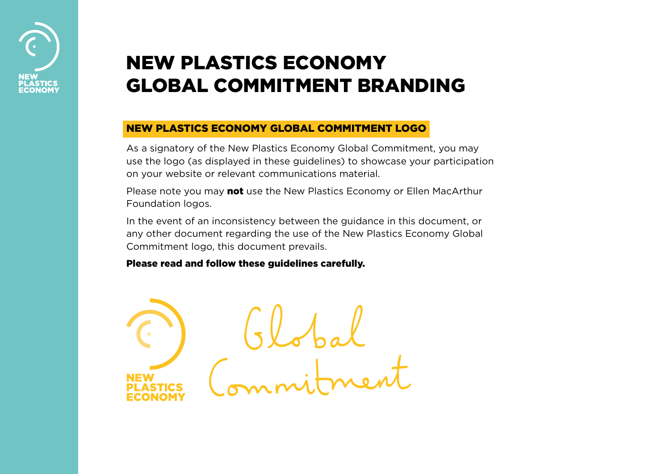# NEW PLASTICS ECONOMY GLOBAL COMMITMENT BRANDING

#### NEW PLASTICS ECONOMY GLOBAL COMMITMENT LOGO

As a signatory of the New Plastics Economy Global Commitment, you may use the logo (as displayed in these guidelines) to showcase your participation on your website or relevant communications material.

Please note you may **not** use the New Plastics Economy or Ellen MacArthur Foundation logos.

In the event of an inconsistency between the guidance in this document, or any other document regarding the use of the New Plastics Economy Global Commitment logo, this document prevails.

Please read and follow these guidelines carefully.

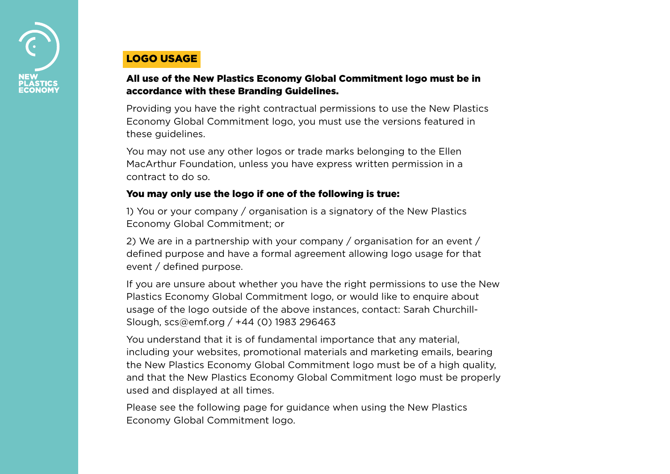

### LOGO USAGE

#### All use of the New Plastics Economy Global Commitment logo must be in accordance with these Branding Guidelines.

Providing you have the right contractual permissions to use the New Plastics Economy Global Commitment logo, you must use the versions featured in these guidelines.

You may not use any other logos or trade marks belonging to the Ellen MacArthur Foundation, unless you have express written permission in a contract to do so.

#### You may only use the logo if one of the following is true:

1) You or your company / organisation is a signatory of the New Plastics Economy Global Commitment; or

2) We are in a partnership with your company / organisation for an event / defined purpose and have a formal agreement allowing logo usage for that event / defined purpose.

If you are unsure about whether you have the right permissions to use the New Plastics Economy Global Commitment logo, or would like to enquire about usage of the logo outside of the above instances, contact: Sarah Churchill-Slough, scs@emf.org / +44 (0) 1983 296463

You understand that it is of fundamental importance that any material, including your websites, promotional materials and marketing emails, bearing the New Plastics Economy Global Commitment logo must be of a high quality, and that the New Plastics Economy Global Commitment logo must be properly used and displayed at all times.

Please see the following page for guidance when using the New Plastics Economy Global Commitment logo.